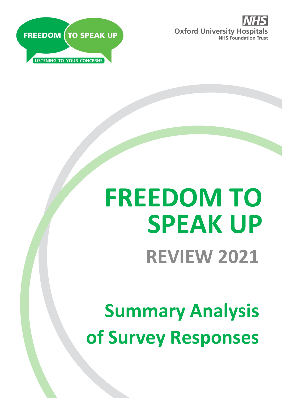



# **FREEDOM TO SPEAK UP REVIEW 2021**

**Summary Analysis of Survey Responses**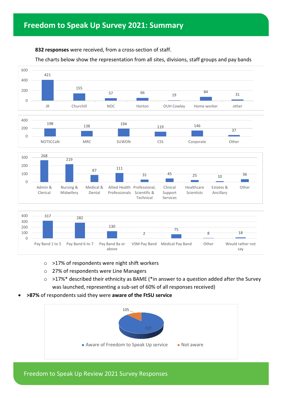#### **832 responses** were received, from a cross-section of staff.

#### The charts below show the representation from all sites, divisions, staff groups and pay bands



- o >17% of respondents were night shift workers
- o 27% of respondents were Line Managers
- o >17%\* described their ethnicity as BAME (\*in answer to a question added after the Survey was launched, representing a sub-set of 60% of all responses received)
- **>87%** of respondents said they were **aware of the FtSU service**



Freedom to Speak Up Review 2021 Survey Responses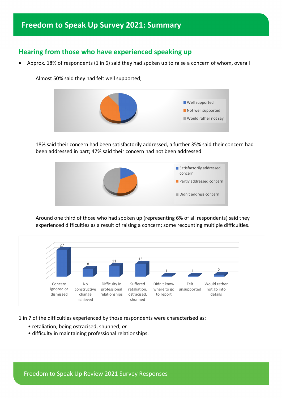## **Freedom to Speak Up Survey 2021: Summary**

## **Hearing from those who have experienced speaking up**

• Approx. 18% of respondents (1 in 6) said they had spoken up to raise a concern of whom, overall

Almost 50% said they had felt well supported;



18% said their concern had been satisfactorily addressed, a further 35% said their concern had been addressed in part; 47% said their concern had not been addressed



Around one third of those who had spoken up (representing 6% of all respondents) said they experienced difficulties as a result of raising a concern; some recounting multiple difficulties.



1 in 7 of the difficulties experienced by those respondents were characterised as:

- retaliation, being ostracised, shunned; *or*
- difficulty in maintaining professional relationships.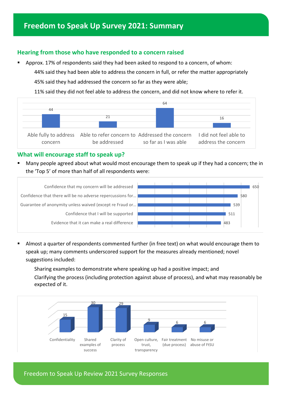## **Freedom to Speak Up Survey 2021: Summary**

#### **Hearing from those who have responded to a concern raised**

 Approx. 17% of respondents said they had been asked to respond to a concern, of whom: 44% said they had been able to address the concern in full, or refer the matter appropriately 45% said they had addressed the concern so far as they were able;

11% said they did not feel able to address the concern, and did not know where to refer it.



#### **What will encourage staff to speak up?**

 Many people agreed about what would most encourage them to speak up if they had a concern; the in the 'Top 5' of more than half of all respondents were:



 Almost a quarter of respondents commented further (in free text) on what would encourage them to speak up; many comments underscored support for the measures already mentioned; novel suggestions included:

Sharing examples to demonstrate where speaking up had a positive impact; and Clarifying the process (including protection against abuse of process), and what may reasonably be expected of it.



Freedom to Speak Up Review 2021 Survey Responses